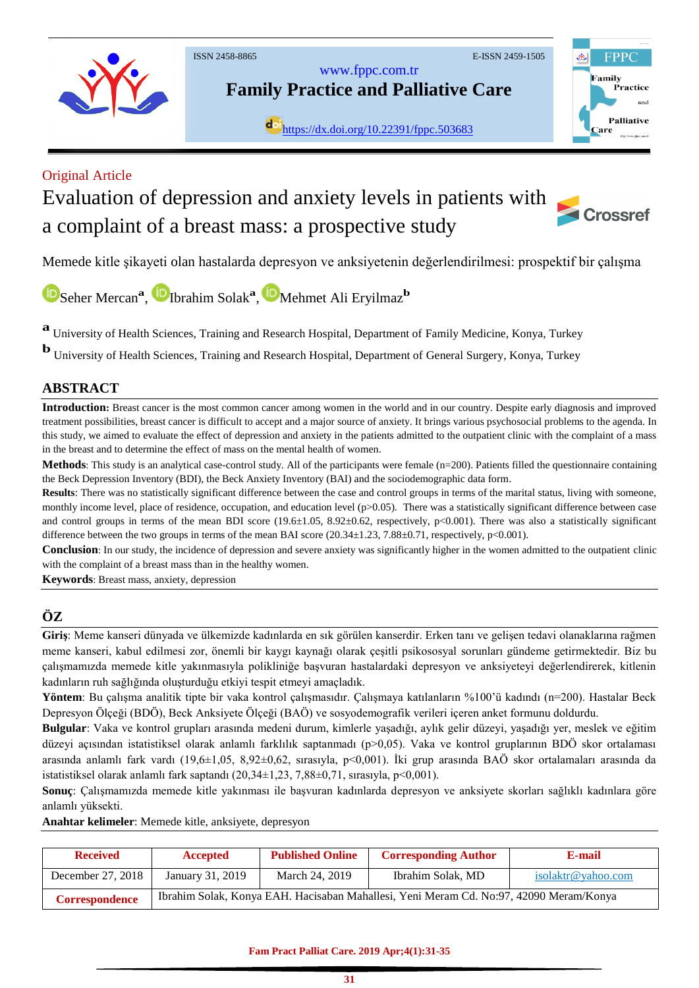

[www.fppc.com.tr](http://www.fppc.com.tr/)

**Family Practice and Palliative Care**

dol<sub><https://dx.doi.org/10.22391/fppc.503683></sub>



## Original Article

# Evaluation of depression and anxiety levels in patients with a complaint of a breast mass: a prospective study



Memede kitle şikayeti olan hastalarda depresyon ve anksiyetenin değerlendirilmesi: prospektif bir çalışma

[S](https://orcid.org/0000-0002-4066-2928)eherMercan<sup>a</sup>, <sup>ID</sup>Ibrahim Solak<sup>a</sup>, <sup>ID</sup>Mehmet Ali Eryilmaz<sup>b</sup>

**a** University of Health Sciences, Training and Research Hospital, Department of Family Medicine, Konya, Turkey

**b** University of Health Sciences, Training and Research Hospital, Department of General Surgery, Konya, Turkey

### **ABSTRACT**

**Introduction:** Breast cancer is the most common cancer among women in the world and in our country. Despite early diagnosis and improved treatment possibilities, breast cancer is difficult to accept and a major source of anxiety. It brings various psychosocial problems to the agenda. In this study, we aimed to evaluate the effect of depression and anxiety in the patients admitted to the outpatient clinic with the complaint of a mass in the breast and to determine the effect of mass on the mental health of women.

**Methods**: This study is an analytical case-control study. All of the participants were female (n=200). Patients filled the questionnaire containing the Beck Depression Inventory (BDI), the Beck Anxiety Inventory (BAI) and the sociodemographic data form.

**Results**: There was no statistically significant difference between the case and control groups in terms of the marital status, living with someone, monthly income level, place of residence, occupation, and education level ( $p>0.05$ ). There was a statistically significant difference between case and control groups in terms of the mean BDI score (19.6 $\pm$ 1.05, 8.92 $\pm$ 0.62, respectively, p<0.001). There was also a statistically significant difference between the two groups in terms of the mean BAI score  $(20.34\pm1.23, 7.88\pm0.71,$  respectively, p<0.001).

**Conclusion**: In our study, the incidence of depression and severe anxiety was significantly higher in the women admitted to the outpatient clinic with the complaint of a breast mass than in the healthy women.

**Keywords**: Breast mass, anxiety, depression

## **ÖZ**

**Giriş**: Meme kanseri dünyada ve ülkemizde kadınlarda en sık görülen kanserdir. Erken tanı ve gelişen tedavi olanaklarına rağmen meme kanseri, kabul edilmesi zor, önemli bir kaygı kaynağı olarak çeşitli psikososyal sorunları gündeme getirmektedir. Biz bu çalışmamızda memede kitle yakınmasıyla polikliniğe başvuran hastalardaki depresyon ve anksiyeteyi değerlendirerek, kitlenin kadınların ruh sağlığında oluşturduğu etkiyi tespit etmeyi amaçladık.

**Yöntem**: Bu çalışma analitik tipte bir vaka kontrol çalışmasıdır. Çalışmaya katılanların %100'ü kadındı (n=200). Hastalar Beck Depresyon Ölçeği (BDÖ), Beck Anksiyete Ölçeği (BAÖ) ve sosyodemografik verileri içeren anket formunu doldurdu.

**Bulgular**: Vaka ve kontrol grupları arasında medeni durum, kimlerle yaşadığı, aylık gelir düzeyi, yaşadığı yer, meslek ve eğitim düzeyi açısından istatistiksel olarak anlamlı farklılık saptanmadı (p>0,05). Vaka ve kontrol gruplarının BDÖ skor ortalaması arasında anlamlı fark vardı (19,6±1,05, 8,92±0,62, sırasıyla, p<0,001). İki grup arasında BAÖ skor ortalamaları arasında da istatistiksel olarak anlamlı fark saptandı  $(20,34\pm1,23, 7,88\pm0,71,$  sırasıyla, p<0,001).

**Sonuç**: Çalışmamızda memede kitle yakınması ile başvuran kadınlarda depresyon ve anksiyete skorları sağlıklı kadınlara göre anlamlı yüksekti.

**Anahtar kelimeler**: Memede kitle, anksiyete, depresyon

| <b>Received</b>       | Accepted                                                                               | <b>Published Online</b> | <b>Corresponding Author</b> | E-mail             |  |  |
|-----------------------|----------------------------------------------------------------------------------------|-------------------------|-----------------------------|--------------------|--|--|
| December 27, 2018     | January 31, 2019                                                                       | March 24, 2019          | Ibrahim Solak, MD           | isolaktr@yahoo.com |  |  |
| <b>Correspondence</b> | Ibrahim Solak, Konya EAH. Hacisaban Mahallesi, Yeni Meram Cd. No:97, 42090 Meram/Konya |                         |                             |                    |  |  |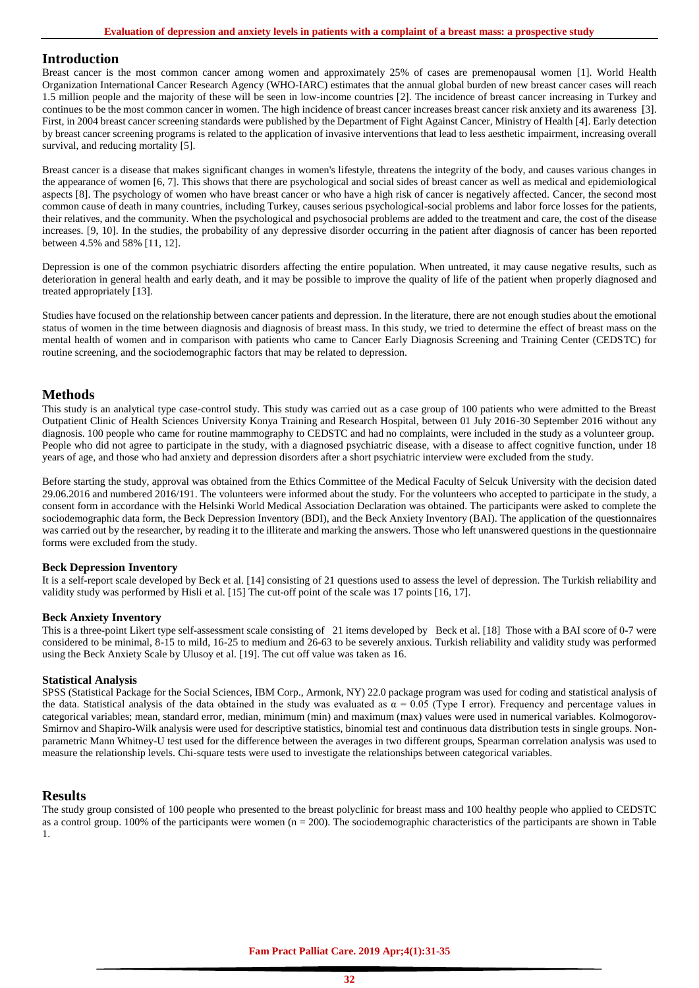#### **Introduction**

Breast cancer is the most common cancer among women and approximately 25% of cases are premenopausal women [1]. World Health Organization International Cancer Research Agency (WHO-IARC) estimates that the annual global burden of new breast cancer cases will reach 1.5 million people and the majority of these will be seen in low-income countries [2]. The incidence of breast cancer increasing in Turkey and continues to be the most common cancer in women. The high incidence of breast cancer increases breast cancer risk anxiety and its awareness [3]. First, in 2004 breast cancer screening standards were published by the Department of Fight Against Cancer, Ministry of Health [4]. Early detection by breast cancer screening programs is related to the application of invasive interventions that lead to less aesthetic impairment, increasing overall survival, and reducing mortality [5].

Breast cancer is a disease that makes significant changes in women's lifestyle, threatens the integrity of the body, and causes various changes in the appearance of women [6, 7]. This shows that there are psychological and social sides of breast cancer as well as medical and epidemiological aspects [8]. The psychology of women who have breast cancer or who have a high risk of cancer is negatively affected. Cancer, the second most common cause of death in many countries, including Turkey, causes serious psychological-social problems and labor force losses for the patients, their relatives, and the community. When the psychological and psychosocial problems are added to the treatment and care, the cost of the disease increases. [9, 10]. In the studies, the probability of any depressive disorder occurring in the patient after diagnosis of cancer has been reported between 4.5% and 58% [11, 12].

Depression is one of the common psychiatric disorders affecting the entire population. When untreated, it may cause negative results, such as deterioration in general health and early death, and it may be possible to improve the quality of life of the patient when properly diagnosed and treated appropriately [13].

Studies have focused on the relationship between cancer patients and depression. In the literature, there are not enough studies about the emotional status of women in the time between diagnosis and diagnosis of breast mass. In this study, we tried to determine the effect of breast mass on the mental health of women and in comparison with patients who came to Cancer Early Diagnosis Screening and Training Center (CEDSTC) for routine screening, and the sociodemographic factors that may be related to depression.

#### **Methods**

This study is an analytical type case-control study. This study was carried out as a case group of 100 patients who were admitted to the Breast Outpatient Clinic of Health Sciences University Konya Training and Research Hospital, between 01 July 2016-30 September 2016 without any diagnosis. 100 people who came for routine mammography to CEDSTC and had no complaints, were included in the study as a volunteer group. People who did not agree to participate in the study, with a diagnosed psychiatric disease, with a disease to affect cognitive function, under 18 years of age, and those who had anxiety and depression disorders after a short psychiatric interview were excluded from the study.

Before starting the study, approval was obtained from the Ethics Committee of the Medical Faculty of Selcuk University with the decision dated 29.06.2016 and numbered 2016/191. The volunteers were informed about the study. For the volunteers who accepted to participate in the study, a consent form in accordance with the Helsinki World Medical Association Declaration was obtained. The participants were asked to complete the sociodemographic data form, the Beck Depression Inventory (BDI), and the Beck Anxiety Inventory (BAI). The application of the questionnaires was carried out by the researcher, by reading it to the illiterate and marking the answers. Those who left unanswered questions in the questionnaire forms were excluded from the study.

#### **Beck Depression Inventory**

It is a self-report scale developed by Beck et al. [14] consisting of 21 questions used to assess the level of depression. The Turkish reliability and validity study was performed by Hisli et al. [15] The cut-off point of the scale was 17 points [16, 17].

#### **Beck Anxiety Inventory**

This is a three-point Likert type self-assessment scale consisting of 21 items developed by Beck et al. [18] Those with a BAI score of 0-7 were considered to be minimal, 8-15 to mild, 16-25 to medium and 26-63 to be severely anxious. Turkish reliability and validity study was performed using the Beck Anxiety Scale by Ulusoy et al. [19]. The cut off value was taken as 16.

#### **Statistical Analysis**

SPSS (Statistical Package for the Social Sciences, IBM Corp., Armonk, NY) 22.0 package program was used for coding and statistical analysis of the data. Statistical analysis of the data obtained in the study was evaluated as  $\alpha = 0.05$  (Type I error). Frequency and percentage values in categorical variables; mean, standard error, median, minimum (min) and maximum (max) values were used in numerical variables. Kolmogorov-Smirnov and Shapiro-Wilk analysis were used for descriptive statistics, binomial test and continuous data distribution tests in single groups. Nonparametric Mann Whitney-U test used for the difference between the averages in two different groups, Spearman correlation analysis was used to measure the relationship levels. Chi-square tests were used to investigate the relationships between categorical variables.

#### **Results**

The study group consisted of 100 people who presented to the breast polyclinic for breast mass and 100 healthy people who applied to CEDSTC as a control group. 100% of the participants were women  $(n = 200)$ . The sociodemographic characteristics of the participants are shown in Table 1.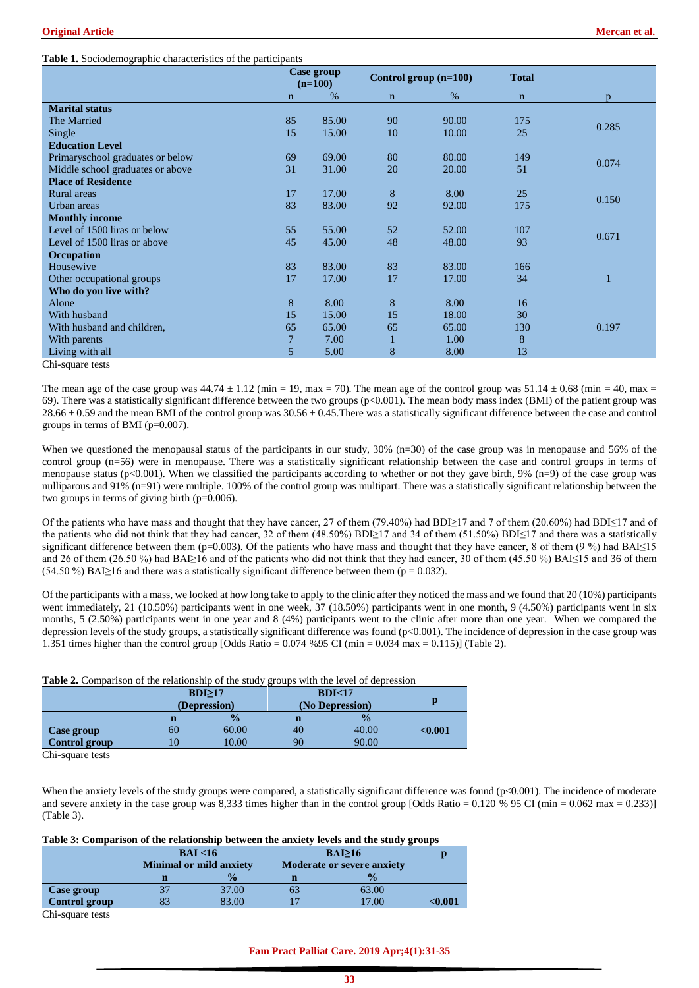#### **Table 1.** Sociodemographic characteristics of the participants

|                                  |              | Case group<br>$(n=100)$ |              | Control group $(n=100)$ | <b>Total</b> |       |
|----------------------------------|--------------|-------------------------|--------------|-------------------------|--------------|-------|
|                                  | $\mathbf{n}$ | %                       | $\mathbf n$  | %                       | $\mathbf n$  | p     |
| <b>Marital status</b>            |              |                         |              |                         |              |       |
| The Married                      | 85           | 85.00                   | 90           | 90.00                   | 175          | 0.285 |
| Single                           | 15           | 15.00                   | 10           | 10.00                   | 25           |       |
| <b>Education Level</b>           |              |                         |              |                         |              |       |
| Primaryschool graduates or below | 69           | 69.00                   | 80           | 80.00                   | 149          | 0.074 |
| Middle school graduates or above | 31           | 31.00                   | 20           | 20.00                   | 51           |       |
| <b>Place of Residence</b>        |              |                         |              |                         |              |       |
| Rural areas                      | 17           | 17.00                   | 8            | 8.00                    | 25           | 0.150 |
| Urban areas                      | 83           | 83.00                   | 92           | 92.00                   | 175          |       |
| <b>Monthly income</b>            |              |                         |              |                         |              |       |
| Level of 1500 liras or below     | 55           | 55.00                   | 52           | 52.00                   | 107          | 0.671 |
| Level of 1500 liras or above     | 45           | 45.00                   | 48           | 48.00                   | 93           |       |
| <b>Occupation</b>                |              |                         |              |                         |              |       |
| Housewive                        | 83           | 83.00                   | 83           | 83.00                   | 166          |       |
| Other occupational groups        | 17           | 17.00                   | 17           | 17.00                   | 34           |       |
| Who do you live with?            |              |                         |              |                         |              |       |
| Alone                            | 8            | 8.00                    | 8            | 8.00                    | 16           |       |
| With husband                     | 15           | 15.00                   | 15           | 18.00                   | 30           |       |
| With husband and children,       | 65           | 65.00                   | 65           | 65.00                   | 130          | 0.197 |
| With parents                     | 7            | 7.00                    | $\mathbf{1}$ | 1.00                    | 8            |       |
| Living with all                  | 5            | 5.00                    | 8            | 8.00                    | 13           |       |
| Chi-square tests                 |              |                         |              |                         |              |       |

The mean age of the case group was  $44.74 \pm 1.12$  (min = 19, max = 70). The mean age of the control group was  $51.14 \pm 0.68$  (min = 40, max = 69). There was a statistically significant difference between the two groups (p<0.001). The mean body mass index (BMI) of the patient group was  $28.66 \pm 0.59$  and the mean BMI of the control group was  $30.56 \pm 0.45$ . There was a statistically significant difference between the case and control groups in terms of BMI (p=0.007).

When we questioned the menopausal status of the participants in our study, 30% (n=30) of the case group was in menopause and 56% of the control group (n=56) were in menopause. There was a statistically significant relationship between the case and control groups in terms of menopause status ( $p<0.001$ ). When we classified the participants according to whether or not they gave birth, 9% ( $n=9$ ) of the case group was nulliparous and 91% (n=91) were multiple. 100% of the control group was multipart. There was a statistically significant relationship between the two groups in terms of giving birth ( $p=0.006$ ).

Of the patients who have mass and thought that they have cancer, 27 of them (79.40%) had BDI≥17 and 7 of them (20.60%) had BDI≤17 and of the patients who did not think that they had cancer, 32 of them (48.50%) BDI≥17 and 34 of them (51.50%) BDI≤17 and there was a statistically significant difference between them (p=0.003). Of the patients who have mass and thought that they have cancer, 8 of them (9 %) had BAI≤15 and 26 of them (26.50 %) had BAI≥16 and of the patients who did not think that they had cancer, 30 of them (45.50 %) BAI≤15 and 36 of them (54.50 %) BAI≥16 and there was a statistically significant difference between them ( $p = 0.032$ ).

Of the participants with a mass, we looked at how long take to apply to the clinic after they noticed the mass and we found that 20 (10%) participants went immediately, 21 (10.50%) participants went in one week, 37 (18.50%) participants went in one month, 9 (4.50%) participants went in six months, 5 (2.50%) participants went in one year and 8 (4%) participants went to the clinic after more than one year. When we compared the depression levels of the study groups, a statistically significant difference was found (p<0.001). The incidence of depression in the case group was 1.351 times higher than the control group [Odds Ratio = 0.074 %95 CI (min = 0.034 max = 0.115)] (Table 2).

#### **Table 2.** Comparison of the relationship of the study groups with the level of depression

|                      | BDI>17<br>(Depression) |               | BDI<17          |               |         |
|----------------------|------------------------|---------------|-----------------|---------------|---------|
|                      |                        |               | (No Depression) |               |         |
|                      | n                      | $\frac{0}{2}$ |                 | $\frac{0}{2}$ |         |
| Case group           | 60                     | 60.00         | 40              | 40.00         | < 0.001 |
| <b>Control group</b> |                        | 10.00         | 90              | 90.00         |         |

Chi-square tests

When the anxiety levels of the study groups were compared, a statistically significant difference was found (p<0.001). The incidence of moderate and severe anxiety in the case group was 8,333 times higher than in the control group [Odds Ratio =  $0.120\%$  95 CI (min =  $0.062$  max =  $0.233$ )] (Table 3).

#### **Table 3: Comparison of the relationship between the anxiety levels and the study groups**

|               | BAI < 16<br><b>Minimal or mild anxiety</b> |               | BAI>16                            |                    |        |
|---------------|--------------------------------------------|---------------|-----------------------------------|--------------------|--------|
|               |                                            |               | <b>Moderate or severe anxiety</b> |                    |        |
|               |                                            | $\frac{0}{2}$ | n                                 | $\frac{0}{\alpha}$ |        |
| Case group    | 37                                         | 37.00         | 63                                | 63.00              |        |
| Control group | 83                                         | 83.00         |                                   | 7.00               | <0.001 |
| $\sim$ $\sim$ |                                            |               |                                   |                    |        |

Chi-square tests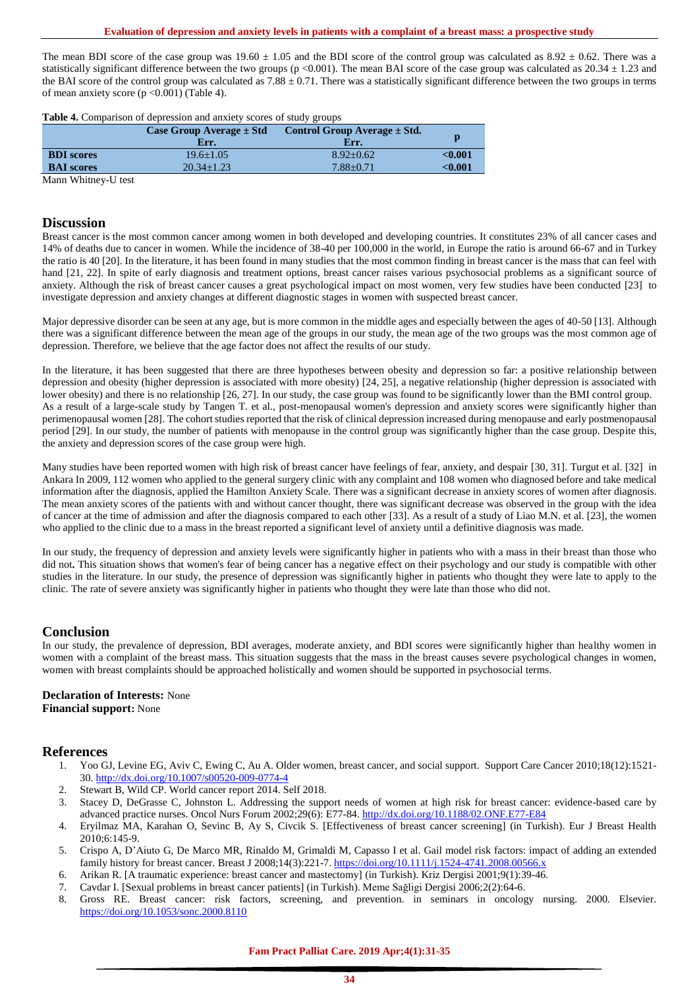The mean BDI score of the case group was  $19.60 \pm 1.05$  and the BDI score of the control group was calculated as  $8.92 \pm 0.62$ . There was a statistically significant difference between the two groups ( $p < 0.001$ ). The mean BAI score of the case group was calculated as  $20.34 \pm 1.23$  and the BAI score of the control group was calculated as  $7.88 \pm 0.71$ . There was a statistically significant difference between the two groups in terms of mean anxiety score  $(p \le 0.001)$  (Table 4).

|  |  |  |  | Table 4. Comparison of depression and anxiety scores of study groups |
|--|--|--|--|----------------------------------------------------------------------|
|--|--|--|--|----------------------------------------------------------------------|

|                   | Case Group Average $\pm$ Std<br>Err. | Control Group Average $\pm$ Std.<br>Err. | р            |
|-------------------|--------------------------------------|------------------------------------------|--------------|
| <b>BDI</b> scores | $19.6 + 1.05$                        | $8.92 + 0.62$                            | < 0.001      |
| <b>BAI</b> scores | $20.34 \pm 1.23$                     | $7.88 + 0.71$                            | $<\!\!0.001$ |
|                   |                                      |                                          |              |

Mann Whitney-U test

#### **Discussion**

Breast cancer is the most common cancer among women in both developed and developing countries. It constitutes 23% of all cancer cases and 14% of deaths due to cancer in women. While the incidence of 38-40 per 100,000 in the world, in Europe the ratio is around 66-67 and in Turkey the ratio is 40 [20]. In the literature, it has been found in many studies that the most common finding in breast cancer is the mass that can feel with hand [21, 22]. In spite of early diagnosis and treatment options, breast cancer raises various psychosocial problems as a significant source of anxiety. Although the risk of breast cancer causes a great psychological impact on most women, very few studies have been conducted [23] to investigate depression and anxiety changes at different diagnostic stages in women with suspected breast cancer.

Major depressive disorder can be seen at any age, but is more common in the middle ages and especially between the ages of 40-50 [13]. Although there was a significant difference between the mean age of the groups in our study, the mean age of the two groups was the most common age of depression. Therefore, we believe that the age factor does not affect the results of our study.

In the literature, it has been suggested that there are three hypotheses between obesity and depression so far: a positive relationship between depression and obesity (higher depression is associated with more obesity) [24, 25], a negative relationship (higher depression is associated with lower obesity) and there is no relationship [26, 27]. In our study, the case group was found to be significantly lower than the BMI control group. As a result of a large-scale study by Tangen T. et al., post-menopausal women's depression and anxiety scores were significantly higher than perimenopausal women [28]. The cohort studies reported that the risk of clinical depression increased during menopause and early postmenopausal period [29]. In our study, the number of patients with menopause in the control group was significantly higher than the case group. Despite this, the anxiety and depression scores of the case group were high.

Many studies have been reported women with high risk of breast cancer have feelings of fear, anxiety, and despair [30, 31]. Turgut et al. [32] in Ankara In 2009, 112 women who applied to the general surgery clinic with any complaint and 108 women who diagnosed before and take medical information after the diagnosis, applied the Hamilton Anxiety Scale. There was a significant decrease in anxiety scores of women after diagnosis. The mean anxiety scores of the patients with and without cancer thought, there was significant decrease was observed in the group with the idea of cancer at the time of admission and after the diagnosis compared to each other [33]. As a result of a study of Liao M.N. et al. [23], the women who applied to the clinic due to a mass in the breast reported a significant level of anxiety until a definitive diagnosis was made.

In our study, the frequency of depression and anxiety levels were significantly higher in patients who with a mass in their breast than those who did not. This situation shows that women's fear of being cancer has a negative effect on their psychology and our study is compatible with other studies in the literature. In our study, the presence of depression was significantly higher in patients who thought they were late to apply to the clinic. The rate of severe anxiety was significantly higher in patients who thought they were late than those who did not.

#### **Conclusion**

In our study, the prevalence of depression, BDI averages, moderate anxiety, and BDI scores were significantly higher than healthy women in women with a complaint of the breast mass. This situation suggests that the mass in the breast causes severe psychological changes in women, women with breast complaints should be approached holistically and women should be supported in psychosocial terms.

#### **Declaration of Interests:** None **Financial support:** None

## **References**

- 1. Yoo GJ, Levine EG, Aviv C, Ewing C, Au A. Older women, breast cancer, and social support. Support Care Cancer 2010;18(12):1521- 30[. http://dx.doi.org/10.1007/s00520-009-0774-4](http://dx.doi.org/10.1007/s00520-009-0774-4)
- 2. Stewart B, Wild CP. World cancer report 2014. Self 2018.
- 3. Stacey D, DeGrasse C, Johnston L. Addressing the support needs of women at high risk for breast cancer: evidence-based care by advanced practice nurses. Oncol Nurs Forum 2002;29(6): E77-84[. http://dx.doi.org/10.1188/02.ONF.E77-E84](http://dx.doi.org/10.1188/02.ONF.E77-E84)
- 4. Eryilmaz MA, Karahan O, Sevinc B, Ay S, Civcik S. [Effectiveness of breast cancer screening] (in Turkish). Eur J Breast Health 2010;6:145-9.
- 5. Crispo A, D'Aiuto G, De Marco MR, Rinaldo M, Grimaldi M, Capasso I et al. Gail model risk factors: impact of adding an extended family history for breast cancer. Breast J 2008;14(3):221-7[. https://doi.org/10.1111/j.1524-4741.2008.00566.x](https://doi.org/10.1111/j.1524-4741.2008.00566.x)
- 6. Arikan R. [A traumatic experience: breast cancer and mastectomy] (in Turkish). Kriz Dergisi 2001;9(1):39-46.
- 7. Cavdar I. [Sexual problems in breast cancer patients] (in Turkish). Meme Sağligi Dergisi 2006;2(2):64-6.
- 8. Gross RE. Breast cancer: risk factors, screening, and prevention. in seminars in oncology nursing. 2000. Elsevier. <https://doi.org/10.1053/sonc.2000.8110>